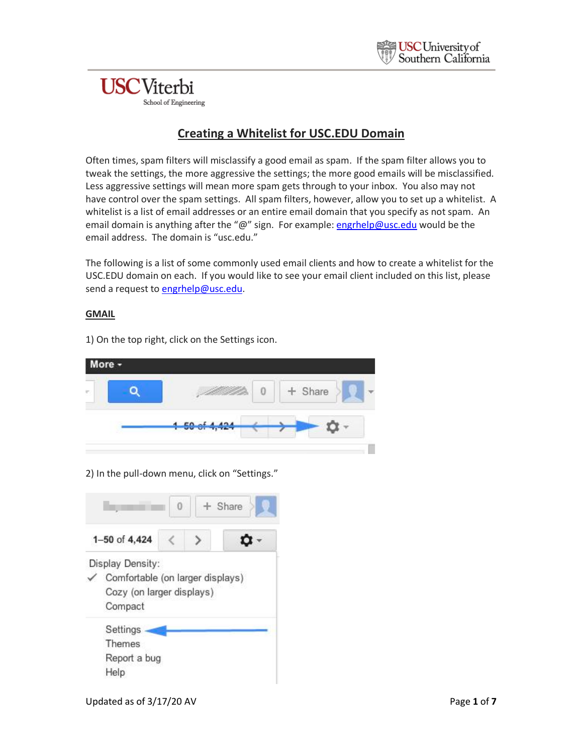## **USC**Viterbi School of Engineering

## **Creating a Whitelist for USC.EDU Domain**

Often times, spam filters will misclassify a good email as spam. If the spam filter allows you to tweak the settings, the more aggressive the settings; the more good emails will be misclassified. Less aggressive settings will mean more spam gets through to your inbox. You also may not have control over the spam settings. All spam filters, however, allow you to set up a whitelist. A whitelist is a list of email addresses or an entire email domain that you specify as not spam. An email domain is anything after the "@" sign. For example[: engrhelp@usc.edu](mailto:engrhelp@usc.edu) would be the email address. The domain is "usc.edu."

The following is a list of some commonly used email clients and how to create a whitelist for the USC.EDU domain on each. If you would like to see your email client included on this list, please send a request to [engrhelp@usc.edu.](mailto:engrhelp@usc.edu)

#### **GMAIL**

1) On the top right, click on the Settings icon.

| More - |               |         |  |
|--------|---------------|---------|--|
| ×      |               | + Share |  |
|        | 1 50 of 4,424 |         |  |
|        |               |         |  |

2) In the pull-down menu, click on "Settings."

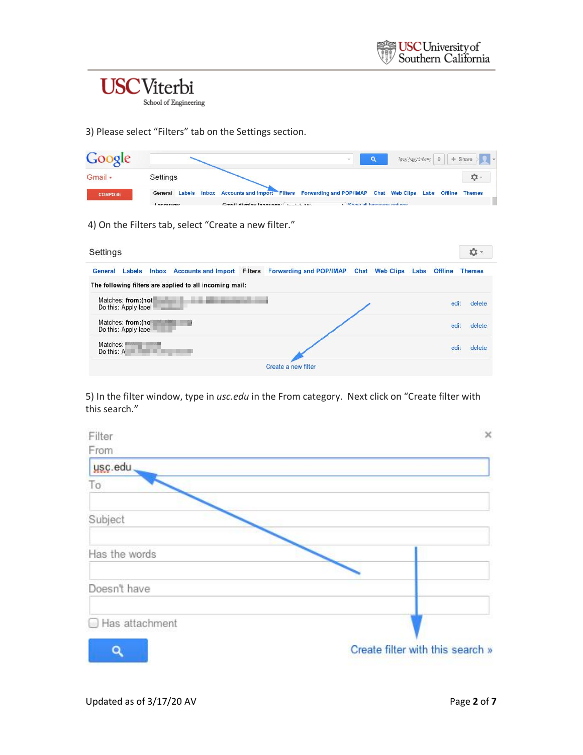

School of Engineering

3) Please select "Filters" tab on the Settings section.

| Google         |                      |                                                                                                     |                             |  |  | $\frac{1}{2} \left\langle \left\langle \left( \frac{1}{2} \right)^2 \left( \frac{1}{2} \right)^2 \left( \frac{1}{2} \right)^2 \right\rangle \right\rangle = 0 \quad \text{where} \quad \left\langle \left( \frac{1}{2} \right)^2 \left( \frac{1}{2} \right)^2 \right\rangle = 0 \quad \text{where} \quad \left\langle \left( \frac{1}{2} \right)^2 \left( \frac{1}{2} \right)^2 \right\rangle \right\rangle = 0 \quad \text{where} \quad \left\langle \left( \frac{1}{2} \right)^2 \left( \frac{1}{2} \right)^2 \right\rangle = 0 \quad \text$ |  |
|----------------|----------------------|-----------------------------------------------------------------------------------------------------|-----------------------------|--|--|------------------------------------------------------------------------------------------------------------------------------------------------------------------------------------------------------------------------------------------------------------------------------------------------------------------------------------------------------------------------------------------------------------------------------------------------------------------------------------------------------------------------------------------------|--|
| Gmail -        | Settings             |                                                                                                     |                             |  |  | n                                                                                                                                                                                                                                                                                                                                                                                                                                                                                                                                              |  |
| <b>COMPOSE</b> | General              | Labels Inbox Accounts and Import Filters Forwarding and POP/IMAP Chat Web Clips Labs Offline Themes |                             |  |  |                                                                                                                                                                                                                                                                                                                                                                                                                                                                                                                                                |  |
|                | anguage <sup>*</sup> | Gmail dienlay Janguage English (UC)                                                                 | A Chow all language options |  |  |                                                                                                                                                                                                                                                                                                                                                                                                                                                                                                                                                |  |

4) On the Filters tab, select "Create a new filter."

| Settings                                                                                                                                                 |      |                | o             |
|----------------------------------------------------------------------------------------------------------------------------------------------------------|------|----------------|---------------|
| Inbox Accounts and Import Filters Forwarding and POP/IMAP Chat Web Clips<br>General<br>Labels<br>The following filters are applied to all incoming mail: | Labs | <b>Offline</b> | <b>Themes</b> |
| Matches: from: (not<br>Do this: Apply label                                                                                                              |      | edit           | delete        |
| Matches: from: (no<br>Do this: Apply labe                                                                                                                |      | edit           | delete        |
| Matches:<br>Alice 7<br>Do this: A                                                                                                                        |      | edit           | delete        |
| Create a new filter                                                                                                                                      |      |                |               |

5) In the filter window, type in *usc.edu* in the From category. Next click on "Create filter with this search."

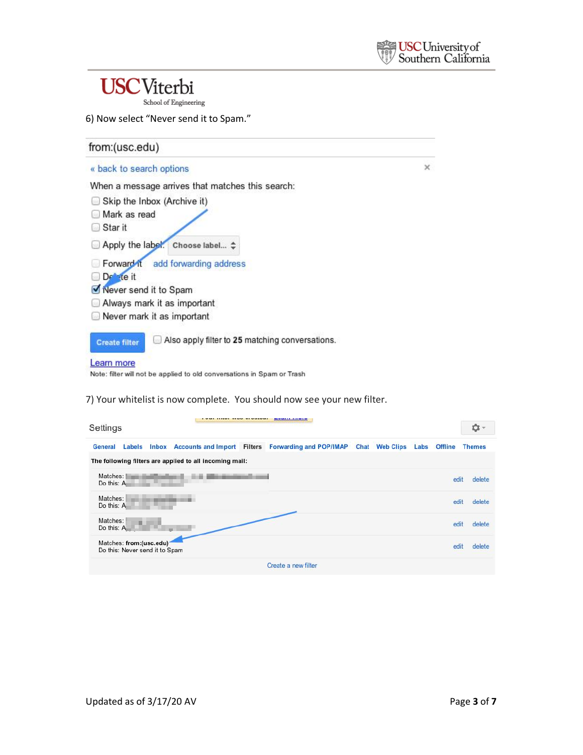$\times$ 

## **USC**Viterbi

School of Engineering

| from:(usc.edu)                                                                      |  |
|-------------------------------------------------------------------------------------|--|
| « back to search options                                                            |  |
| When a message arrives that matches this search:                                    |  |
| Skip the Inbox (Archive it)                                                         |  |
| Mark as read                                                                        |  |
| Star it                                                                             |  |
| Apply the label. Choose label $\Leftrightarrow$                                     |  |
| Forward it add forwarding address                                                   |  |
| $De^-$ te it                                                                        |  |
| Never send it to Spam                                                               |  |
| Always mark it as important                                                         |  |
| Never mark it as important                                                          |  |
| Also apply filter to 25 matching conversations.<br><b>Create filter</b>             |  |
| earn more<br>Note: filter will not be applied to old conversations in Spam or Trash |  |

7) Your whitelist is now complete. You should now see your new filter.

| Settings               |                                                           |  |                                                         |  |                                                                                       |  |  | 立 -  |      |               |
|------------------------|-----------------------------------------------------------|--|---------------------------------------------------------|--|---------------------------------------------------------------------------------------|--|--|------|------|---------------|
| <b>General</b>         | Labels                                                    |  |                                                         |  | Inbox Accounts and Import Filters Forwarding and POP/IMAP Chat Web Clips Labs Offline |  |  |      |      | <b>Themes</b> |
|                        |                                                           |  | The following filters are applied to all incoming mail: |  |                                                                                       |  |  |      |      |               |
| Matches:<br>Do this: A |                                                           |  |                                                         |  |                                                                                       |  |  |      | edit | delete        |
| Matches:<br>Do this: A |                                                           |  |                                                         |  |                                                                                       |  |  | edit |      | delete        |
| Matches:<br>Do this: A |                                                           |  |                                                         |  |                                                                                       |  |  | edit |      | delete        |
|                        | Matches: from:(usc.edu)<br>Do this: Never send it to Spam |  |                                                         |  |                                                                                       |  |  | edit |      | delete        |
|                        |                                                           |  |                                                         |  | Create a new filter                                                                   |  |  |      |      |               |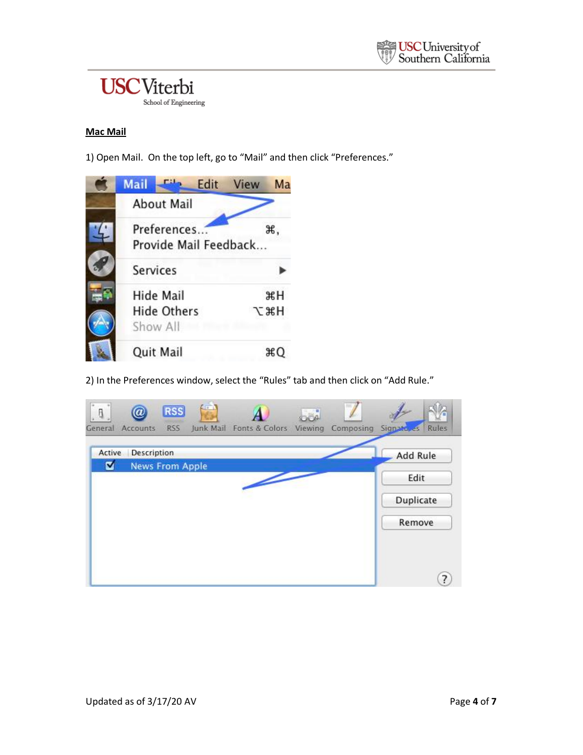

### **Mac Mail**

1) Open Mail. On the top left, go to "Mail" and then click "Preferences."



2) In the Preferences window, select the "Rules" tab and then click on "Add Rule."

| Active | Description            |  |  | Add Rule  |
|--------|------------------------|--|--|-----------|
| ø      | <b>News From Apple</b> |  |  | Edit      |
|        |                        |  |  | Duplicate |
|        |                        |  |  | Remove    |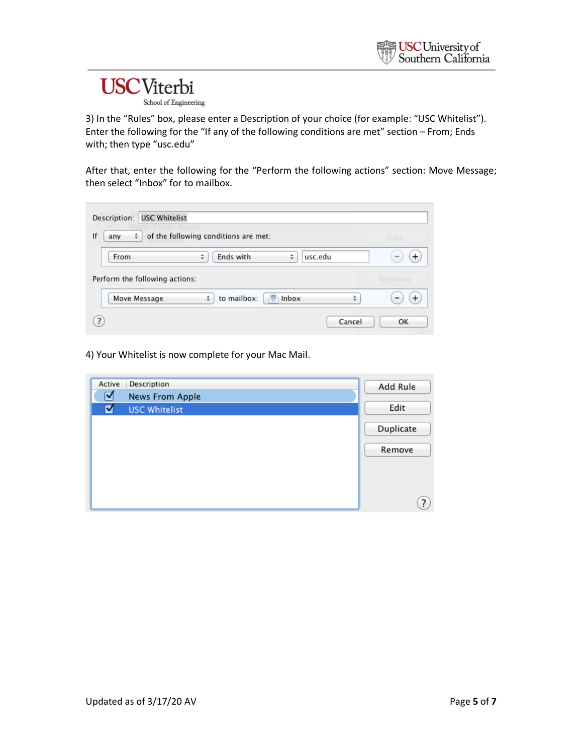# **USC**Viterbi

School of Engineering

3) In the "Rules" box, please enter a Description of your choice (for example: "USC Whitelist"). Enter the following for the "If any of the following conditions are met" section – From; Ends with; then type "usc.edu"

After that, enter the following for the "Perform the following actions" section: Move Message; then select "Inbox" for to mailbox.

| <b>USC Whitelist</b><br>Description:                   |    |
|--------------------------------------------------------|----|
| of the following conditions are met:<br>÷<br>lf<br>any |    |
| Ends with<br>usc.edu<br>÷<br>From<br>÷                 |    |
| Perform the following actions:                         |    |
| to mailbox:<br>Inbox<br>Move Message<br>÷<br>÷         |    |
| $\overline{.}$<br>Cancel                               | OK |

4) Your Whitelist is now complete for your Mac Mail.

| Active | Description          | Add Rule  |
|--------|----------------------|-----------|
| ☑      | News From Apple      |           |
| ☑      | <b>USC Whitelist</b> | Edit      |
|        |                      | Duplicate |
|        |                      | Remove    |
|        |                      |           |
|        |                      | 7         |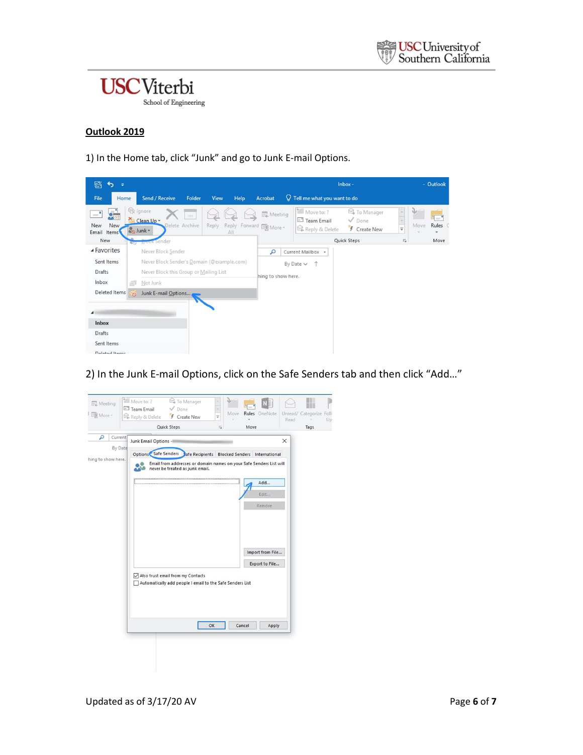

### **Outlook 2019**

1) In the Home tab, click "Junk" and go to Junk E-mail Options.



2) In the Junk E-mail Options, click on the Safe Senders tab and then click "Add…"